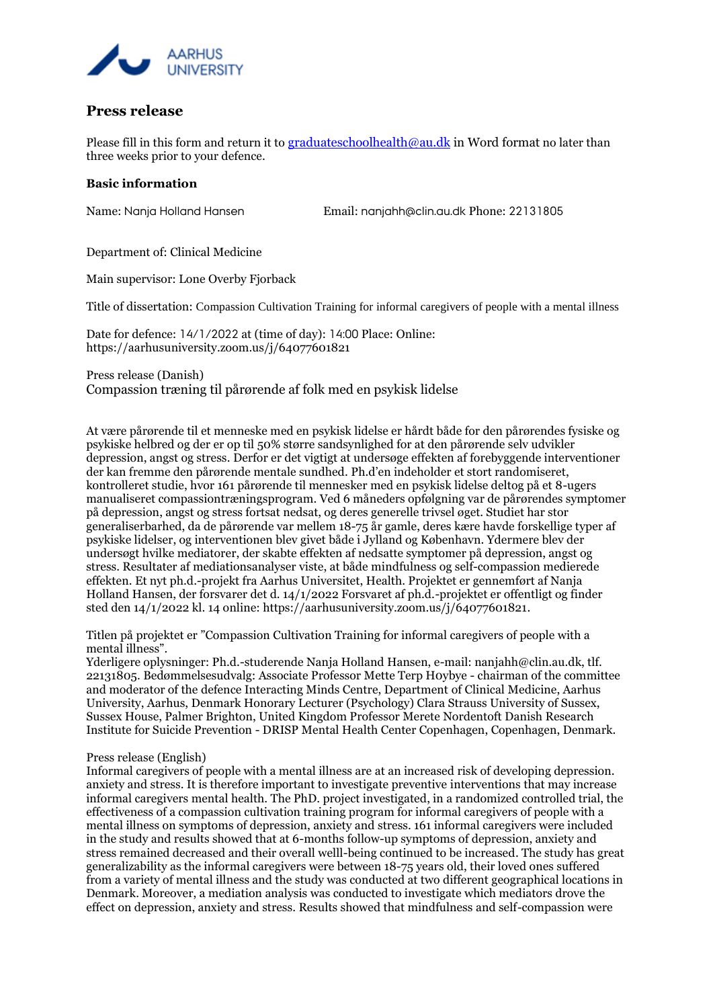

## **Press release**

Please fill in this form and return it to [graduateschoolhealth@au.dk](mailto:graduateschoolhealth@au.dk) in Word format no later than three weeks prior to your defence.

## **Basic information**

Name: Nanja Holland Hansen Email: nanjahh@clin.au.dk Phone: 22131805

Department of: Clinical Medicine

Main supervisor: Lone Overby Fjorback

Title of dissertation: Compassion Cultivation Training for informal caregivers of people with a mental illness

Date for defence: 14/1/2022 at (time of day): 14:00 Place: Online: https://aarhusuniversity.zoom.us/j/64077601821

Press release (Danish) Compassion træning til pårørende af folk med en psykisk lidelse

At være pårørende til et menneske med en psykisk lidelse er hårdt både for den pårørendes fysiske og psykiske helbred og der er op til 50% større sandsynlighed for at den pårørende selv udvikler depression, angst og stress. Derfor er det vigtigt at undersøge effekten af forebyggende interventioner der kan fremme den pårørende mentale sundhed. Ph.d'en indeholder et stort randomiseret, kontrolleret studie, hvor 161 pårørende til mennesker med en psykisk lidelse deltog på et 8-ugers manualiseret compassiontræningsprogram. Ved 6 måneders opfølgning var de pårørendes symptomer på depression, angst og stress fortsat nedsat, og deres generelle trivsel øget. Studiet har stor generaliserbarhed, da de pårørende var mellem 18-75 år gamle, deres kære havde forskellige typer af psykiske lidelser, og interventionen blev givet både i Jylland og København. Ydermere blev der undersøgt hvilke mediatorer, der skabte effekten af nedsatte symptomer på depression, angst og stress. Resultater af mediationsanalyser viste, at både mindfulness og self-compassion medierede effekten. Et nyt ph.d.-projekt fra Aarhus Universitet, Health. Projektet er gennemført af Nanja Holland Hansen, der forsvarer det d. 14/1/2022 Forsvaret af ph.d.-projektet er offentligt og finder sted den 14/1/2022 kl. 14 online: https://aarhusuniversity.zoom.us/j/64077601821.

Titlen på projektet er "Compassion Cultivation Training for informal caregivers of people with a mental illness".

Yderligere oplysninger: Ph.d.-studerende Nanja Holland Hansen, e-mail: nanjahh@clin.au.dk, tlf. 22131805. Bedømmelsesudvalg: Associate Professor Mette Terp H0ybye - chairman of the committee and moderator of the defence Interacting Minds Centre, Department of Clinical Medicine, Aarhus University, Aarhus, Denmark Honorary Lecturer (Psychology) Clara Strauss University of Sussex, Sussex House, Palmer Brighton, United Kingdom Professor Merete Nordentoft Danish Research Institute for Suicide Prevention - DRISP Mental Health Center Copenhagen, Copenhagen, Denmark.

## Press release (English)

Informal caregivers of people with a mental illness are at an increased risk of developing depression. anxiety and stress. It is therefore important to investigate preventive interventions that may increase informal caregivers mental health. The PhD. project investigated, in a randomized controlled trial, the effectiveness of a compassion cultivation training program for informal caregivers of people with a mental illness on symptoms of depression, anxiety and stress. 161 informal caregivers were included in the study and results showed that at 6-months follow-up symptoms of depression, anxiety and stress remained decreased and their overall welll-being continued to be increased. The study has great generalizability as the informal caregivers were between 18-75 years old, their loved ones suffered from a variety of mental illness and the study was conducted at two different geographical locations in Denmark. Moreover, a mediation analysis was conducted to investigate which mediators drove the effect on depression, anxiety and stress. Results showed that mindfulness and self-compassion were